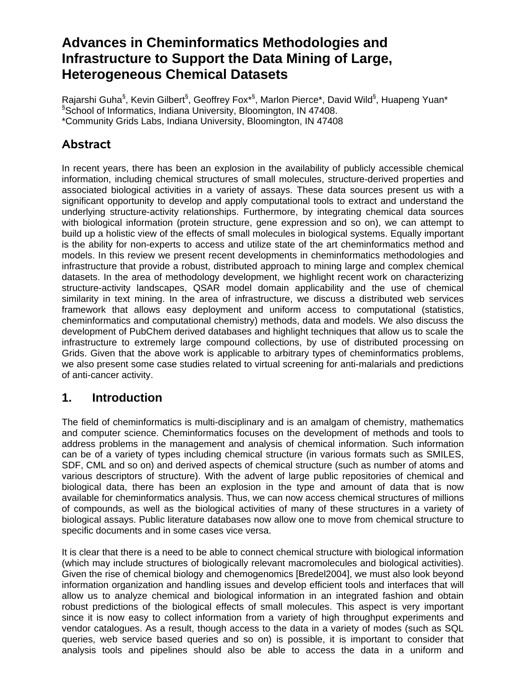# **Advances in Cheminformatics Methodologies and Infrastructure to Support the Data Mining of Large, Heterogeneous Chemical Datasets**

Rajarshi Guha<sup>§</sup>, Kevin Gilbert<sup>§</sup>, Geoffrey Fox\*<sup>§</sup>, Marlon Pierce\*, David Wild<sup>§</sup>, Huapeng Yuan\* § School of Informatics, Indiana University, Bloomington, IN 47408. \*Community Grids Labs, Indiana University, Bloomington, IN 47408

## **Abstract**

In recent years, there has been an explosion in the availability of publicly accessible chemical information, including chemical structures of small molecules, structure-derived properties and associated biological activities in a variety of assays. These data sources present us with a significant opportunity to develop and apply computational tools to extract and understand the underlying structure-activity relationships. Furthermore, by integrating chemical data sources with biological information (protein structure, gene expression and so on), we can attempt to build up a holistic view of the effects of small molecules in biological systems. Equally important is the ability for non-experts to access and utilize state of the art cheminformatics method and models. In this review we present recent developments in cheminformatics methodologies and infrastructure that provide a robust, distributed approach to mining large and complex chemical datasets. In the area of methodology development, we highlight recent work on characterizing structure-activity landscapes, QSAR model domain applicability and the use of chemical similarity in text mining. In the area of infrastructure, we discuss a distributed web services framework that allows easy deployment and uniform access to computational (statistics, cheminformatics and computational chemistry) methods, data and models. We also discuss the development of PubChem derived databases and highlight techniques that allow us to scale the infrastructure to extremely large compound collections, by use of distributed processing on Grids. Given that the above work is applicable to arbitrary types of cheminformatics problems, we also present some case studies related to virtual screening for anti-malarials and predictions of anti-cancer activity.

#### **1. Introduction**

The field of cheminformatics is multi-disciplinary and is an amalgam of chemistry, mathematics and computer science. Cheminformatics focuses on the development of methods and tools to address problems in the management and analysis of chemical information. Such information can be of a variety of types including chemical structure (in various formats such as SMILES, SDF, CML and so on) and derived aspects of chemical structure (such as number of atoms and various descriptors of structure). With the advent of large public repositories of chemical and biological data, there has been an explosion in the type and amount of data that is now available for cheminformatics analysis. Thus, we can now access chemical structures of millions of compounds, as well as the biological activities of many of these structures in a variety of biological assays. Public literature databases now allow one to move from chemical structure to specific documents and in some cases vice versa.

It is clear that there is a need to be able to connect chemical structure with biological information (which may include structures of biologically relevant macromolecules and biological activities). Given the rise of chemical biology and chemogenomics [Bredel2004], we must also look beyond information organization and handling issues and develop efficient tools and interfaces that will allow us to analyze chemical and biological information in an integrated fashion and obtain robust predictions of the biological effects of small molecules. This aspect is very important since it is now easy to collect information from a variety of high throughput experiments and vendor catalogues. As a result, though access to the data in a variety of modes (such as SQL queries, web service based queries and so on) is possible, it is important to consider that analysis tools and pipelines should also be able to access the data in a uniform and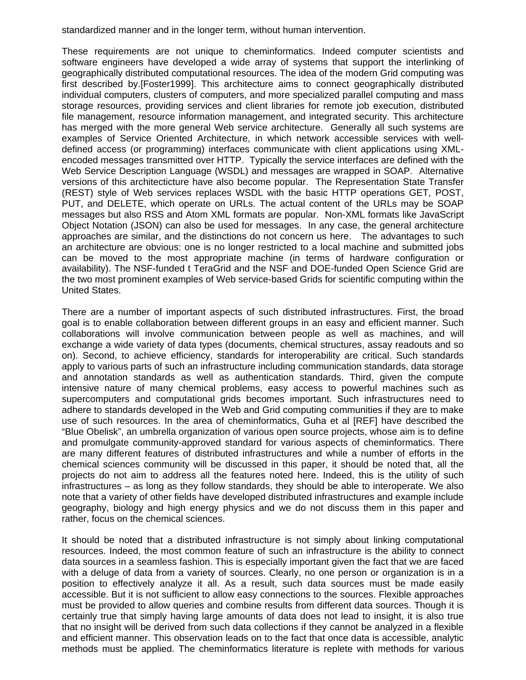standardized manner and in the longer term, without human intervention.

These requirements are not unique to cheminformatics. Indeed computer scientists and software engineers have developed a wide array of systems that support the interlinking of geographically distributed computational resources. The idea of the modern Grid computing was first described by.[Foster1999]. This architecture aims to connect geographically distributed individual computers, clusters of computers, and more specialized parallel computing and mass storage resources, providing services and client libraries for remote job execution, distributed file management, resource information management, and integrated security. This architecture has merged with the more general Web service architecture. Generally all such systems are examples of Service Oriented Architecture, in which network accessible services with welldefined access (or programming) interfaces communicate with client applications using XMLencoded messages transmitted over HTTP. Typically the service interfaces are defined with the Web Service Description Language (WSDL) and messages are wrapped in SOAP. Alternative versions of this architecticture have also become popular. The Representation State Transfer (REST) style of Web services replaces WSDL with the basic HTTP operations GET, POST, PUT, and DELETE, which operate on URLs. The actual content of the URLs may be SOAP messages but also RSS and Atom XML formats are popular. Non-XML formats like JavaScript Object Notation (JSON) can also be used for messages. In any case, the general architecture approaches are similar, and the distinctions do not concern us here. The advantages to such an architecture are obvious: one is no longer restricted to a local machine and submitted jobs can be moved to the most appropriate machine (in terms of hardware configuration or availability). The NSF-funded t TeraGrid and the NSF and DOE-funded Open Science Grid are the two most prominent examples of Web service-based Grids for scientific computing within the United States.

There are a number of important aspects of such distributed infrastructures. First, the broad goal is to enable collaboration between different groups in an easy and efficient manner. Such collaborations will involve communication between people as well as machines, and will exchange a wide variety of data types (documents, chemical structures, assay readouts and so on). Second, to achieve efficiency, standards for interoperability are critical. Such standards apply to various parts of such an infrastructure including communication standards, data storage and annotation standards as well as authentication standards. Third, given the compute intensive nature of many chemical problems, easy access to powerful machines such as supercomputers and computational grids becomes important. Such infrastructures need to adhere to standards developed in the Web and Grid computing communities if they are to make use of such resources. In the area of cheminformatics, Guha et al [REF] have described the "Blue Obelisk", an umbrella organization of various open source projects, whose aim is to define and promulgate community-approved standard for various aspects of cheminformatics. There are many different features of distributed infrastructures and while a number of efforts in the chemical sciences community will be discussed in this paper, it should be noted that, all the projects do not aim to address all the features noted here. Indeed, this is the utility of such infrastructures – as long as they follow standards, they should be able to interoperate. We also note that a variety of other fields have developed distributed infrastructures and example include geography, biology and high energy physics and we do not discuss them in this paper and rather, focus on the chemical sciences.

It should be noted that a distributed infrastructure is not simply about linking computational resources. Indeed, the most common feature of such an infrastructure is the ability to connect data sources in a seamless fashion. This is especially important given the fact that we are faced with a deluge of data from a variety of sources. Clearly, no one person or organization is in a position to effectively analyze it all. As a result, such data sources must be made easily accessible. But it is not sufficient to allow easy connections to the sources. Flexible approaches must be provided to allow queries and combine results from different data sources. Though it is certainly true that simply having large amounts of data does not lead to insight, it is also true that no insight will be derived from such data collections if they cannot be analyzed in a flexible and efficient manner. This observation leads on to the fact that once data is accessible, analytic methods must be applied. The cheminformatics literature is replete with methods for various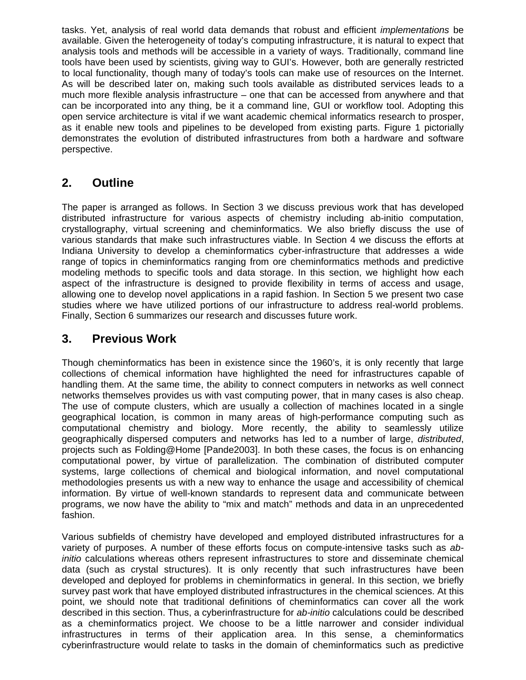tasks. Yet, analysis of real world data demands that robust and efficient *implementations* be available. Given the heterogeneity of today's computing infrastructure, it is natural to expect that analysis tools and methods will be accessible in a variety of ways. Traditionally, command line tools have been used by scientists, giving way to GUI's. However, both are generally restricted to local functionality, though many of today's tools can make use of resources on the Internet. As will be described later on, making such tools available as distributed services leads to a much more flexible analysis infrastructure – one that can be accessed from anywhere and that can be incorporated into any thing, be it a command line, GUI or workflow tool. Adopting this open service architecture is vital if we want academic chemical informatics research to prosper, as it enable new tools and pipelines to be developed from existing parts. Figure 1 pictorially demonstrates the evolution of distributed infrastructures from both a hardware and software perspective.

#### **2. Outline**

The paper is arranged as follows. In Section 3 we discuss previous work that has developed distributed infrastructure for various aspects of chemistry including ab-initio computation, crystallography, virtual screening and cheminformatics. We also briefly discuss the use of various standards that make such infrastructures viable. In Section 4 we discuss the efforts at Indiana University to develop a cheminformatics cyber-infrastructure that addresses a wide range of topics in cheminformatics ranging from ore cheminformatics methods and predictive modeling methods to specific tools and data storage. In this section, we highlight how each aspect of the infrastructure is designed to provide flexibility in terms of access and usage, allowing one to develop novel applications in a rapid fashion. In Section 5 we present two case studies where we have utilized portions of our infrastructure to address real-world problems. Finally, Section 6 summarizes our research and discusses future work.

#### **3. Previous Work**

Though cheminformatics has been in existence since the 1960's, it is only recently that large collections of chemical information have highlighted the need for infrastructures capable of handling them. At the same time, the ability to connect computers in networks as well connect networks themselves provides us with vast computing power, that in many cases is also cheap. The use of compute clusters, which are usually a collection of machines located in a single geographical location, is common in many areas of high-performance computing such as computational chemistry and biology. More recently, the ability to seamlessly utilize geographically dispersed computers and networks has led to a number of large, *distributed*, projects such as Folding@Home [Pande2003]. In both these cases, the focus is on enhancing computational power, by virtue of parallelization. The combination of distributed computer systems, large collections of chemical and biological information, and novel computational methodologies presents us with a new way to enhance the usage and accessibility of chemical information. By virtue of well-known standards to represent data and communicate between programs, we now have the ability to "mix and match" methods and data in an unprecedented fashion.

Various subfields of chemistry have developed and employed distributed infrastructures for a variety of purposes. A number of these efforts focus on compute-intensive tasks such as *abinitio* calculations whereas others represent infrastructures to store and disseminate chemical data (such as crystal structures). It is only recently that such infrastructures have been developed and deployed for problems in cheminformatics in general. In this section, we briefly survey past work that have employed distributed infrastructures in the chemical sciences. At this point, we should note that traditional definitions of cheminformatics can cover all the work described in this section. Thus, a cyberinfrastructure for *ab-initio* calculations could be described as a cheminformatics project. We choose to be a little narrower and consider individual infrastructures in terms of their application area. In this sense, a cheminformatics cyberinfrastructure would relate to tasks in the domain of cheminformatics such as predictive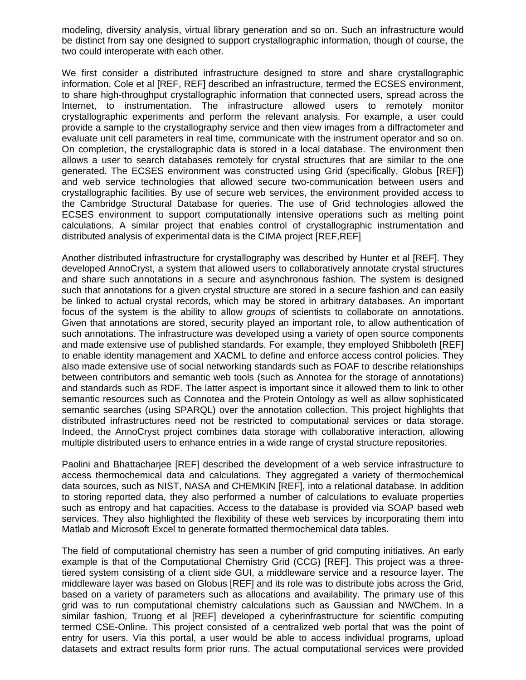modeling, diversity analysis, virtual library generation and so on. Such an infrastructure would be distinct from say one designed to support crystallographic information, though of course, the two could interoperate with each other.

We first consider a distributed infrastructure designed to store and share crystallographic information. Cole et al [REF, REF] described an infrastructure, termed the ECSES environment, to share high-throughput crystallographic information that connected users, spread across the Internet, to instrumentation. The infrastructure allowed users to remotely monitor crystallographic experiments and perform the relevant analysis. For example, a user could provide a sample to the crystallography service and then view images from a diffractometer and evaluate unit cell parameters in real time, communicate with the instrument operator and so on. On completion, the crystallographic data is stored in a local database. The environment then allows a user to search databases remotely for crystal structures that are similar to the one generated. The ECSES environment was constructed using Grid (specifically, Globus [REF]) and web service technologies that allowed secure two-communication between users and crystallographic facilities. By use of secure web services, the environment provided access to the Cambridge Structural Database for queries. The use of Grid technologies allowed the ECSES environment to support computationally intensive operations such as melting point calculations. A similar project that enables control of crystallographic instrumentation and distributed analysis of experimental data is the CIMA project [REF,REF]

Another distributed infrastructure for crystallography was described by Hunter et al [REF]. They developed AnnoCryst, a system that allowed users to collaboratively annotate crystal structures and share such annotations in a secure and asynchronous fashion. The system is designed such that annotations for a given crystal structure are stored in a secure fashion and can easily be linked to actual crystal records, which may be stored in arbitrary databases. An important focus of the system is the ability to allow *groups* of scientists to collaborate on annotations. Given that annotations are stored, security played an important role, to allow authentication of such annotations. The infrastructure was developed using a variety of open source components and made extensive use of published standards. For example, they employed Shibboleth [REF] to enable identity management and XACML to define and enforce access control policies. They also made extensive use of social networking standards such as FOAF to describe relationships between contributors and semantic web tools (such as Annotea for the storage of annotations) and standards such as RDF. The latter aspect is important since it allowed them to link to other semantic resources such as Connotea and the Protein Ontology as well as allow sophisticated semantic searches (using SPARQL) over the annotation collection. This project highlights that distributed infrastructures need not be restricted to computational services or data storage. Indeed, the AnnoCryst project combines data storage with collaborative interaction, allowing multiple distributed users to enhance entries in a wide range of crystal structure repositories.

Paolini and Bhattacharjee [REF] described the development of a web service infrastructure to access thermochemical data and calculations. They aggregated a variety of thermochemical data sources, such as NIST, NASA and CHEMKIN [REF], into a relational database. In addition to storing reported data, they also performed a number of calculations to evaluate properties such as entropy and hat capacities. Access to the database is provided via SOAP based web services. They also highlighted the flexibility of these web services by incorporating them into Matlab and Microsoft Excel to generate formatted thermochemical data tables.

The field of computational chemistry has seen a number of grid computing initiatives. An early example is that of the Computational Chemistry Grid (CCG) [REF]. This project was a threetiered system consisting of a client side GUI, a middleware service and a resource layer. The middleware layer was based on Globus [REF] and its role was to distribute jobs across the Grid, based on a variety of parameters such as allocations and availability. The primary use of this grid was to run computational chemistry calculations such as Gaussian and NWChem. In a similar fashion, Truong et al [REF] developed a cyberinfrastructure for scientific computing termed CSE-Online. This project consisted of a centralized web portal that was the point of entry for users. Via this portal, a user would be able to access individual programs, upload datasets and extract results form prior runs. The actual computational services were provided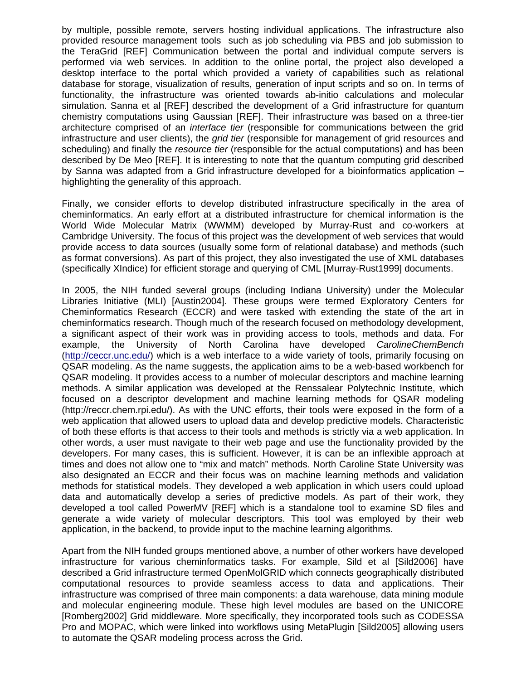by multiple, possible remote, servers hosting individual applications. The infrastructure also provided resource management tools such as job scheduling via PBS and job submission to the TeraGrid [REF] Communication between the portal and individual compute servers is performed via web services. In addition to the online portal, the project also developed a desktop interface to the portal which provided a variety of capabilities such as relational database for storage, visualization of results, generation of input scripts and so on. In terms of functionality, the infrastructure was oriented towards ab-initio calculations and molecular simulation. Sanna et al [REF] described the development of a Grid infrastructure for quantum chemistry computations using Gaussian [REF]. Their infrastructure was based on a three-tier architecture comprised of an *interface tier* (responsible for communications between the grid infrastructure and user clients), the *grid tier* (responsible for management of grid resources and scheduling) and finally the *resource tier* (responsible for the actual computations) and has been described by De Meo [REF]. It is interesting to note that the quantum computing grid described by Sanna was adapted from a Grid infrastructure developed for a bioinformatics application – highlighting the generality of this approach.

Finally, we consider efforts to develop distributed infrastructure specifically in the area of cheminformatics. An early effort at a distributed infrastructure for chemical information is the World Wide Molecular Matrix (WWMM) developed by Murray-Rust and co-workers at Cambridge University. The focus of this project was the development of web services that would provide access to data sources (usually some form of relational database) and methods (such as format conversions). As part of this project, they also investigated the use of XML databases (specifically XIndice) for efficient storage and querying of CML [Murray-Rust1999] documents.

In 2005, the NIH funded several groups (including Indiana University) under the Molecular Libraries Initiative (MLI) [Austin2004]. These groups were termed Exploratory Centers for Cheminformatics Research (ECCR) and were tasked with extending the state of the art in cheminformatics research. Though much of the research focused on methodology development, a significant aspect of their work was in providing access to tools, methods and data. For example, the University of North Carolina have developed *CarolineChemBench* (http://ceccr.unc.edu/) which is a web interface to a wide variety of tools, primarily focusing on QSAR modeling. As the name suggests, the application aims to be a web-based workbench for QSAR modeling. It provides access to a number of molecular descriptors and machine learning methods. A similar application was developed at the Renssalear Polytechnic Institute, which focused on a descriptor development and machine learning methods for QSAR modeling (http://reccr.chem.rpi.edu/). As with the UNC efforts, their tools were exposed in the form of a web application that allowed users to upload data and develop predictive models. Characteristic of both these efforts is that access to their tools and methods is strictly via a web application. In other words, a user must navigate to their web page and use the functionality provided by the developers. For many cases, this is sufficient. However, it is can be an inflexible approach at times and does not allow one to "mix and match" methods. North Caroline State University was also designated an ECCR and their focus was on machine learning methods and validation methods for statistical models. They developed a web application in which users could upload data and automatically develop a series of predictive models. As part of their work, they developed a tool called PowerMV [REF] which is a standalone tool to examine SD files and generate a wide variety of molecular descriptors. This tool was employed by their web application, in the backend, to provide input to the machine learning algorithms.

Apart from the NIH funded groups mentioned above, a number of other workers have developed infrastructure for various cheminformatics tasks. For example, Sild et al [Sild2006] have described a Grid infrastructure termed OpenMolGRID which connects geographically distributed computational resources to provide seamless access to data and applications. Their infrastructure was comprised of three main components: a data warehouse, data mining module and molecular engineering module. These high level modules are based on the UNICORE [Romberg2002] Grid middleware. More specifically, they incorporated tools such as CODESSA Pro and MOPAC, which were linked into workflows using MetaPlugin [Sild2005] allowing users to automate the QSAR modeling process across the Grid.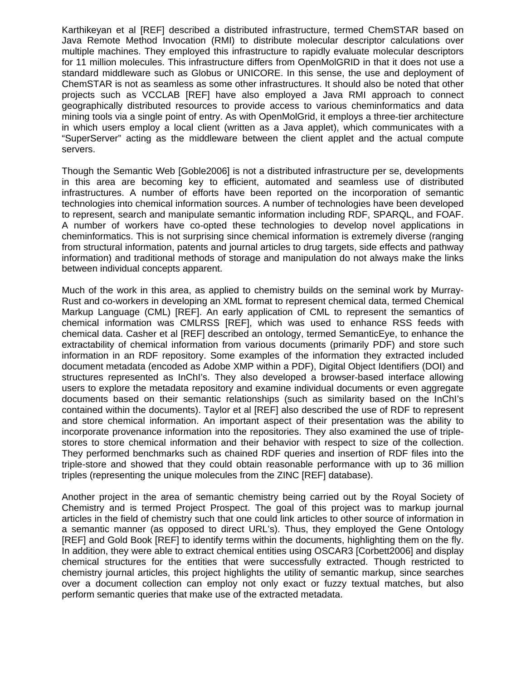Karthikeyan et al [REF] described a distributed infrastructure, termed ChemSTAR based on Java Remote Method Invocation (RMI) to distribute molecular descriptor calculations over multiple machines. They employed this infrastructure to rapidly evaluate molecular descriptors for 11 million molecules. This infrastructure differs from OpenMolGRID in that it does not use a standard middleware such as Globus or UNICORE. In this sense, the use and deployment of ChemSTAR is not as seamless as some other infrastructures. It should also be noted that other projects such as VCCLAB [REF] have also employed a Java RMI approach to connect geographically distributed resources to provide access to various cheminformatics and data mining tools via a single point of entry. As with OpenMolGrid, it employs a three-tier architecture in which users employ a local client (written as a Java applet), which communicates with a "SuperServer" acting as the middleware between the client applet and the actual compute servers.

Though the Semantic Web [Goble2006] is not a distributed infrastructure per se, developments in this area are becoming key to efficient, automated and seamless use of distributed infrastructures. A number of efforts have been reported on the incorporation of semantic technologies into chemical information sources. A number of technologies have been developed to represent, search and manipulate semantic information including RDF, SPARQL, and FOAF. A number of workers have co-opted these technologies to develop novel applications in cheminformatics. This is not surprising since chemical information is extremely diverse (ranging from structural information, patents and journal articles to drug targets, side effects and pathway information) and traditional methods of storage and manipulation do not always make the links between individual concepts apparent.

Much of the work in this area, as applied to chemistry builds on the seminal work by Murray-Rust and co-workers in developing an XML format to represent chemical data, termed Chemical Markup Language (CML) [REF]. An early application of CML to represent the semantics of chemical information was CMLRSS [REF], which was used to enhance RSS feeds with chemical data. Casher et al [REF] described an ontology, termed SemanticEye, to enhance the extractability of chemical information from various documents (primarily PDF) and store such information in an RDF repository. Some examples of the information they extracted included document metadata (encoded as Adobe XMP within a PDF), Digital Object Identifiers (DOI) and structures represented as InChI's. They also developed a browser-based interface allowing users to explore the metadata repository and examine individual documents or even aggregate documents based on their semantic relationships (such as similarity based on the InChI's contained within the documents). Taylor et al [REF] also described the use of RDF to represent and store chemical information. An important aspect of their presentation was the ability to incorporate provenance information into the repositories. They also examined the use of triplestores to store chemical information and their behavior with respect to size of the collection. They performed benchmarks such as chained RDF queries and insertion of RDF files into the triple-store and showed that they could obtain reasonable performance with up to 36 million triples (representing the unique molecules from the ZINC [REF] database).

Another project in the area of semantic chemistry being carried out by the Royal Society of Chemistry and is termed Project Prospect. The goal of this project was to markup journal articles in the field of chemistry such that one could link articles to other source of information in a semantic manner (as opposed to direct URL's). Thus, they employed the Gene Ontology [REF] and Gold Book [REF] to identify terms within the documents, highlighting them on the fly. In addition, they were able to extract chemical entities using OSCAR3 [Corbett2006] and display chemical structures for the entities that were successfully extracted. Though restricted to chemistry journal articles, this project highlights the utility of semantic markup, since searches over a document collection can employ not only exact or fuzzy textual matches, but also perform semantic queries that make use of the extracted metadata.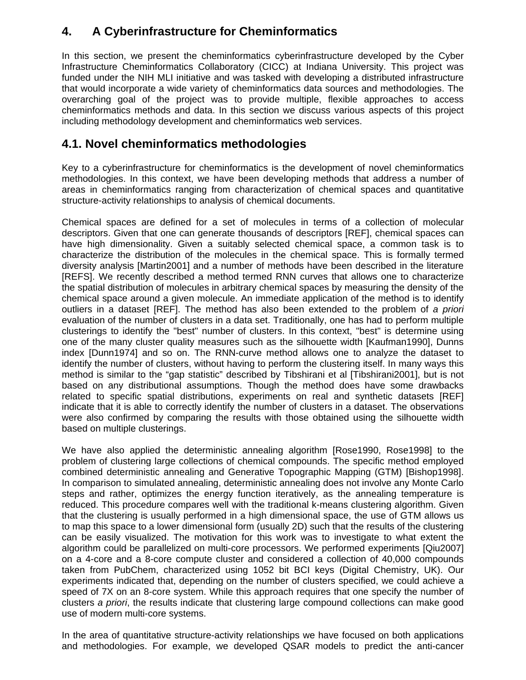# **4. A Cyberinfrastructure for Cheminformatics**

In this section, we present the cheminformatics cyberinfrastructure developed by the Cyber Infrastructure Cheminformatics Collaboratory (CICC) at Indiana University. This project was funded under the NIH MLI initiative and was tasked with developing a distributed infrastructure that would incorporate a wide variety of cheminformatics data sources and methodologies. The overarching goal of the project was to provide multiple, flexible approaches to access cheminformatics methods and data. In this section we discuss various aspects of this project including methodology development and cheminformatics web services.

#### **4.1. Novel cheminformatics methodologies**

Key to a cyberinfrastructure for cheminformatics is the development of novel cheminformatics methodologies. In this context, we have been developing methods that address a number of areas in cheminformatics ranging from characterization of chemical spaces and quantitative structure-activity relationships to analysis of chemical documents.

Chemical spaces are defined for a set of molecules in terms of a collection of molecular descriptors. Given that one can generate thousands of descriptors [REF], chemical spaces can have high dimensionality. Given a suitably selected chemical space, a common task is to characterize the distribution of the molecules in the chemical space. This is formally termed diversity analysis [Martin2001] and a number of methods have been described in the literature [REFS]. We recently described a method termed RNN curves that allows one to characterize the spatial distribution of molecules in arbitrary chemical spaces by measuring the density of the chemical space around a given molecule. An immediate application of the method is to identify outliers in a dataset [REF]. The method has also been extended to the problem of *a priori* evaluation of the number of clusters in a data set. Traditionally, one has had to perform multiple clusterings to identify the "best" number of clusters. In this context, "best" is determine using one of the many cluster quality measures such as the silhouette width [Kaufman1990], Dunns index [Dunn1974] and so on. The RNN-curve method allows one to analyze the dataset to identify the number of clusters, without having to perform the clustering itself. In many ways this method is similar to the "gap statistic" described by Tibshirani et al [Tibshirani2001], but is not based on any distributional assumptions. Though the method does have some drawbacks related to specific spatial distributions, experiments on real and synthetic datasets [REF] indicate that it is able to correctly identify the number of clusters in a dataset. The observations were also confirmed by comparing the results with those obtained using the silhouette width based on multiple clusterings.

We have also applied the deterministic annealing algorithm [Rose1990, Rose1998] to the problem of clustering large collections of chemical compounds. The specific method employed combined deterministic annealing and Generative Topographic Mapping (GTM) [Bishop1998]. In comparison to simulated annealing, deterministic annealing does not involve any Monte Carlo steps and rather, optimizes the energy function iteratively, as the annealing temperature is reduced. This procedure compares well with the traditional k-means clustering algorithm. Given that the clustering is usually performed in a high dimensional space, the use of GTM allows us to map this space to a lower dimensional form (usually 2D) such that the results of the clustering can be easily visualized. The motivation for this work was to investigate to what extent the algorithm could be parallelized on multi-core processors. We performed experiments [Qiu2007] on a 4-core and a 8-core compute cluster and considered a collection of 40,000 compounds taken from PubChem, characterized using 1052 bit BCI keys (Digital Chemistry, UK). Our experiments indicated that, depending on the number of clusters specified, we could achieve a speed of 7X on an 8-core system. While this approach requires that one specify the number of clusters *a priori*, the results indicate that clustering large compound collections can make good use of modern multi-core systems.

In the area of quantitative structure-activity relationships we have focused on both applications and methodologies. For example, we developed QSAR models to predict the anti-cancer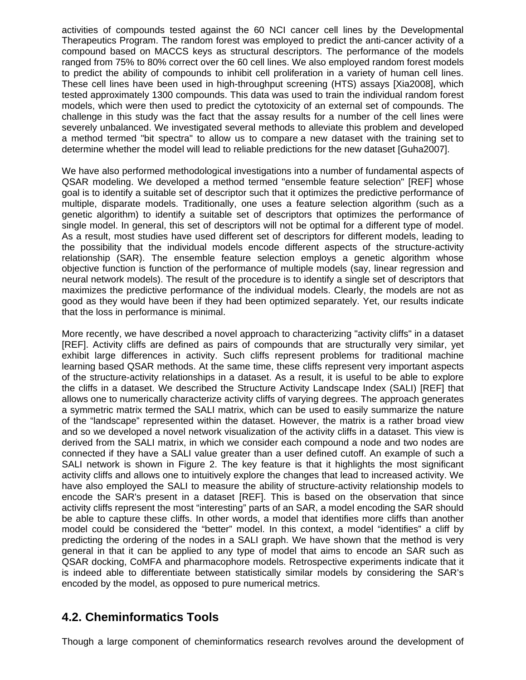activities of compounds tested against the 60 NCI cancer cell lines by the Developmental Therapeutics Program. The random forest was employed to predict the anti-cancer activity of a compound based on MACCS keys as structural descriptors. The performance of the models ranged from 75% to 80% correct over the 60 cell lines. We also employed random forest models to predict the ability of compounds to inhibit cell proliferation in a variety of human cell lines. These cell lines have been used in high-throughput screening (HTS) assays [Xia2008], which tested approximately 1300 compounds. This data was used to train the individual random forest models, which were then used to predict the cytotoxicity of an external set of compounds. The challenge in this study was the fact that the assay results for a number of the cell lines were severely unbalanced. We investigated several methods to alleviate this problem and developed a method termed "bit spectra" to allow us to compare a new dataset with the training set to determine whether the model will lead to reliable predictions for the new dataset [Guha2007].

We have also performed methodological investigations into a number of fundamental aspects of QSAR modeling. We developed a method termed "ensemble feature selection" [REF] whose goal is to identify a suitable set of descriptor such that it optimizes the predictive performance of multiple, disparate models. Traditionally, one uses a feature selection algorithm (such as a genetic algorithm) to identify a suitable set of descriptors that optimizes the performance of single model. In general, this set of descriptors will not be optimal for a different type of model. As a result, most studies have used different set of descriptors for different models, leading to the possibility that the individual models encode different aspects of the structure-activity relationship (SAR). The ensemble feature selection employs a genetic algorithm whose objective function is function of the performance of multiple models (say, linear regression and neural network models). The result of the procedure is to identify a single set of descriptors that maximizes the predictive performance of the individual models. Clearly, the models are not as good as they would have been if they had been optimized separately. Yet, our results indicate that the loss in performance is minimal.

More recently, we have described a novel approach to characterizing "activity cliffs" in a dataset [REF]. Activity cliffs are defined as pairs of compounds that are structurally very similar, yet exhibit large differences in activity. Such cliffs represent problems for traditional machine learning based QSAR methods. At the same time, these cliffs represent very important aspects of the structure-activity relationships in a dataset. As a result, it is useful to be able to explore the cliffs in a dataset. We described the Structure Activity Landscape Index (SALI) [REF] that allows one to numerically characterize activity cliffs of varying degrees. The approach generates a symmetric matrix termed the SALI matrix, which can be used to easily summarize the nature of the "landscape" represented within the dataset. However, the matrix is a rather broad view and so we developed a novel network visualization of the activity cliffs in a dataset. This view is derived from the SALI matrix, in which we consider each compound a node and two nodes are connected if they have a SALI value greater than a user defined cutoff. An example of such a SALI network is shown in Figure 2. The key feature is that it highlights the most significant activity cliffs and allows one to intuitively explore the changes that lead to increased activity. We have also employed the SALI to measure the ability of structure-activity relationship models to encode the SAR's present in a dataset [REF]. This is based on the observation that since activity cliffs represent the most "interesting" parts of an SAR, a model encoding the SAR should be able to capture these cliffs. In other words, a model that identifies more cliffs than another model could be considered the "better" model. In this context, a model "identifies" a cliff by predicting the ordering of the nodes in a SALI graph. We have shown that the method is very general in that it can be applied to any type of model that aims to encode an SAR such as QSAR docking, CoMFA and pharmacophore models. Retrospective experiments indicate that it is indeed able to differentiate between statistically similar models by considering the SAR's encoded by the model, as opposed to pure numerical metrics.

#### **4.2. Cheminformatics Tools**

Though a large component of cheminformatics research revolves around the development of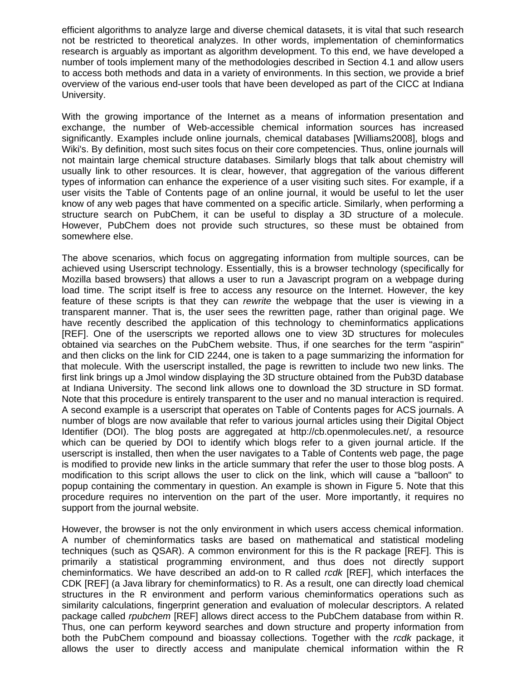efficient algorithms to analyze large and diverse chemical datasets, it is vital that such research not be restricted to theoretical analyzes. In other words, implementation of cheminformatics research is arguably as important as algorithm development. To this end, we have developed a number of tools implement many of the methodologies described in Section 4.1 and allow users to access both methods and data in a variety of environments. In this section, we provide a brief overview of the various end-user tools that have been developed as part of the CICC at Indiana University.

With the growing importance of the Internet as a means of information presentation and exchange, the number of Web-accessible chemical information sources has increased significantly. Examples include online journals, chemical databases [Williams2008], blogs and Wiki's. By definition, most such sites focus on their core competencies. Thus, online journals will not maintain large chemical structure databases. Similarly blogs that talk about chemistry will usually link to other resources. It is clear, however, that aggregation of the various different types of information can enhance the experience of a user visiting such sites. For example, if a user visits the Table of Contents page of an online journal, it would be useful to let the user know of any web pages that have commented on a specific article. Similarly, when performing a structure search on PubChem, it can be useful to display a 3D structure of a molecule. However, PubChem does not provide such structures, so these must be obtained from somewhere else.

The above scenarios, which focus on aggregating information from multiple sources, can be achieved using Userscript technology. Essentially, this is a browser technology (specifically for Mozilla based browsers) that allows a user to run a Javascript program on a webpage during load time. The script itself is free to access any resource on the Internet. However, the key feature of these scripts is that they can *rewrite* the webpage that the user is viewing in a transparent manner. That is, the user sees the rewritten page, rather than original page. We have recently described the application of this technology to cheminformatics applications [REF]. One of the userscripts we reported allows one to view 3D structures for molecules obtained via searches on the PubChem website. Thus, if one searches for the term "aspirin" and then clicks on the link for CID 2244, one is taken to a page summarizing the information for that molecule. With the userscript installed, the page is rewritten to include two new links. The first link brings up a Jmol window displaying the 3D structure obtained from the Pub3D database at Indiana University. The second link allows one to download the 3D structure in SD format. Note that this procedure is entirely transparent to the user and no manual interaction is required. A second example is a userscript that operates on Table of Contents pages for ACS journals. A number of blogs are now available that refer to various journal articles using their Digital Object Identifier (DOI). The blog posts are aggregated at http://cb.openmolecules.net/, a resource which can be queried by DOI to identify which blogs refer to a given journal article. If the userscript is installed, then when the user navigates to a Table of Contents web page, the page is modified to provide new links in the article summary that refer the user to those blog posts. A modification to this script allows the user to click on the link, which will cause a "balloon" to popup containing the commentary in question. An example is shown in Figure 5. Note that this procedure requires no intervention on the part of the user. More importantly, it requires no support from the journal website.

However, the browser is not the only environment in which users access chemical information. A number of cheminformatics tasks are based on mathematical and statistical modeling techniques (such as QSAR). A common environment for this is the R package [REF]. This is primarily a statistical programming environment, and thus does not directly support cheminformatics. We have described an add-on to R called *rcdk* [REF], which interfaces the CDK [REF] (a Java library for cheminformatics) to R. As a result, one can directly load chemical structures in the R environment and perform various cheminformatics operations such as similarity calculations, fingerprint generation and evaluation of molecular descriptors. A related package called *rpubchem* [REF] allows direct access to the PubChem database from within R. Thus, one can perform keyword searches and down structure and property information from both the PubChem compound and bioassay collections. Together with the *rcdk* package, it allows the user to directly access and manipulate chemical information within the R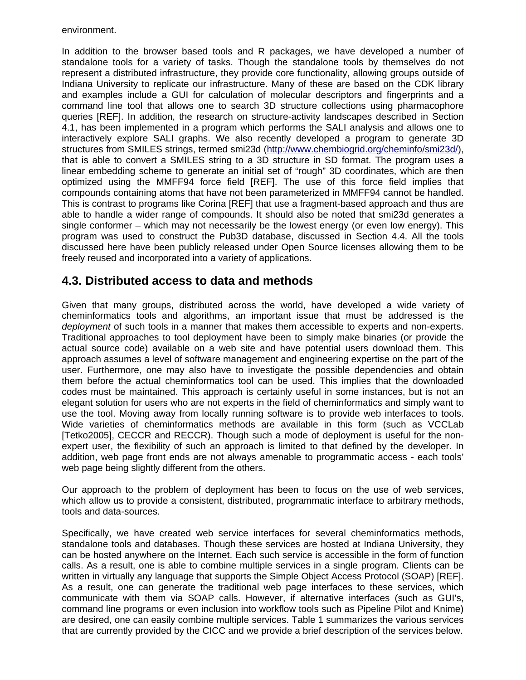environment.

In addition to the browser based tools and R packages, we have developed a number of standalone tools for a variety of tasks. Though the standalone tools by themselves do not represent a distributed infrastructure, they provide core functionality, allowing groups outside of Indiana University to replicate our infrastructure. Many of these are based on the CDK library and examples include a GUI for calculation of molecular descriptors and fingerprints and a command line tool that allows one to search 3D structure collections using pharmacophore queries [REF]. In addition, the research on structure-activity landscapes described in Section 4.1, has been implemented in a program which performs the SALI analysis and allows one to interactively explore SALI graphs. We also recently developed a program to generate 3D structures from SMILES strings, termed smi23d (http://www.chembiogrid.org/cheminfo/smi23d/), that is able to convert a SMILES string to a 3D structure in SD format. The program uses a linear embedding scheme to generate an initial set of "rough" 3D coordinates, which are then optimized using the MMFF94 force field [REF]. The use of this force field implies that compounds containing atoms that have not been parameterized in MMFF94 cannot be handled. This is contrast to programs like Corina [REF] that use a fragment-based approach and thus are able to handle a wider range of compounds. It should also be noted that smi23d generates a single conformer – which may not necessarily be the lowest energy (or even low energy). This program was used to construct the Pub3D database, discussed in Section 4.4. All the tools discussed here have been publicly released under Open Source licenses allowing them to be freely reused and incorporated into a variety of applications.

#### **4.3. Distributed access to data and methods**

Given that many groups, distributed across the world, have developed a wide variety of cheminformatics tools and algorithms, an important issue that must be addressed is the *deployment* of such tools in a manner that makes them accessible to experts and non-experts. Traditional approaches to tool deployment have been to simply make binaries (or provide the actual source code) available on a web site and have potential users download them. This approach assumes a level of software management and engineering expertise on the part of the user. Furthermore, one may also have to investigate the possible dependencies and obtain them before the actual cheminformatics tool can be used. This implies that the downloaded codes must be maintained. This approach is certainly useful in some instances, but is not an elegant solution for users who are not experts in the field of cheminformatics and simply want to use the tool. Moving away from locally running software is to provide web interfaces to tools. Wide varieties of cheminformatics methods are available in this form (such as VCCLab [Tetko2005], CECCR and RECCR). Though such a mode of deployment is useful for the nonexpert user, the flexibility of such an approach is limited to that defined by the developer. In addition, web page front ends are not always amenable to programmatic access - each tools' web page being slightly different from the others.

Our approach to the problem of deployment has been to focus on the use of web services, which allow us to provide a consistent, distributed, programmatic interface to arbitrary methods, tools and data-sources.

Specifically, we have created web service interfaces for several cheminformatics methods, standalone tools and databases. Though these services are hosted at Indiana University, they can be hosted anywhere on the Internet. Each such service is accessible in the form of function calls. As a result, one is able to combine multiple services in a single program. Clients can be written in virtually any language that supports the Simple Object Access Protocol (SOAP) [REF]. As a result, one can generate the traditional web page interfaces to these services, which communicate with them via SOAP calls. However, if alternative interfaces (such as GUI's, command line programs or even inclusion into workflow tools such as Pipeline Pilot and Knime) are desired, one can easily combine multiple services. Table 1 summarizes the various services that are currently provided by the CICC and we provide a brief description of the services below.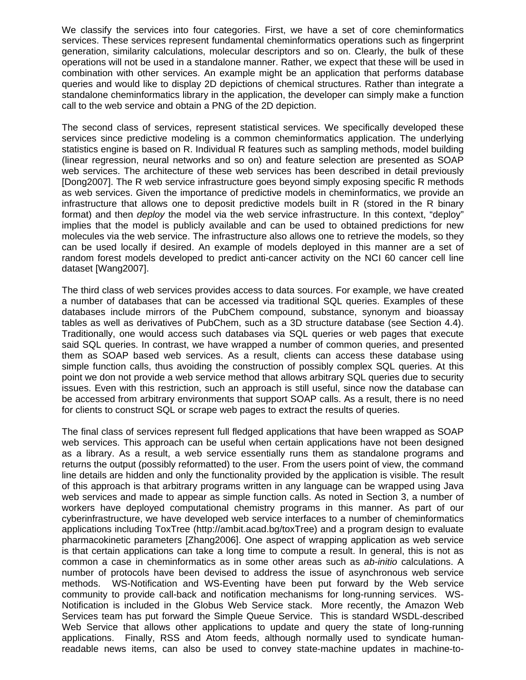We classify the services into four categories. First, we have a set of core cheminformatics services. These services represent fundamental cheminformatics operations such as fingerprint generation, similarity calculations, molecular descriptors and so on. Clearly, the bulk of these operations will not be used in a standalone manner. Rather, we expect that these will be used in combination with other services. An example might be an application that performs database queries and would like to display 2D depictions of chemical structures. Rather than integrate a standalone cheminformatics library in the application, the developer can simply make a function call to the web service and obtain a PNG of the 2D depiction.

The second class of services, represent statistical services. We specifically developed these services since predictive modeling is a common cheminformatics application. The underlying statistics engine is based on R. Individual R features such as sampling methods, model building (linear regression, neural networks and so on) and feature selection are presented as SOAP web services. The architecture of these web services has been described in detail previously [Dong2007]. The R web service infrastructure goes beyond simply exposing specific R methods as web services. Given the importance of predictive models in cheminformatics, we provide an infrastructure that allows one to deposit predictive models built in R (stored in the R binary format) and then *deploy* the model via the web service infrastructure. In this context, "deploy" implies that the model is publicly available and can be used to obtained predictions for new molecules via the web service. The infrastructure also allows one to retrieve the models, so they can be used locally if desired. An example of models deployed in this manner are a set of random forest models developed to predict anti-cancer activity on the NCI 60 cancer cell line dataset [Wang2007].

The third class of web services provides access to data sources. For example, we have created a number of databases that can be accessed via traditional SQL queries. Examples of these databases include mirrors of the PubChem compound, substance, synonym and bioassay tables as well as derivatives of PubChem, such as a 3D structure database (see Section 4.4). Traditionally, one would access such databases via SQL queries or web pages that execute said SQL queries. In contrast, we have wrapped a number of common queries, and presented them as SOAP based web services. As a result, clients can access these database using simple function calls, thus avoiding the construction of possibly complex SQL queries. At this point we don not provide a web service method that allows arbitrary SQL queries due to security issues. Even with this restriction, such an approach is still useful, since now the database can be accessed from arbitrary environments that support SOAP calls. As a result, there is no need for clients to construct SQL or scrape web pages to extract the results of queries.

The final class of services represent full fledged applications that have been wrapped as SOAP web services. This approach can be useful when certain applications have not been designed as a library. As a result, a web service essentially runs them as standalone programs and returns the output (possibly reformatted) to the user. From the users point of view, the command line details are hidden and only the functionality provided by the application is visible. The result of this approach is that arbitrary programs written in any language can be wrapped using Java web services and made to appear as simple function calls. As noted in Section 3, a number of workers have deployed computational chemistry programs in this manner. As part of our cyberinfrastructure, we have developed web service interfaces to a number of cheminformatics applications including ToxTree (http://ambit.acad.bg/toxTree) and a program design to evaluate pharmacokinetic parameters [Zhang2006]. One aspect of wrapping application as web service is that certain applications can take a long time to compute a result. In general, this is not as common a case in cheminformatics as in some other areas such as *ab-initio* calculations. A number of protocols have been devised to address the issue of asynchronous web service methods. WS-Notification and WS-Eventing have been put forward by the Web service community to provide call-back and notification mechanisms for long-running services. WS-Notification is included in the Globus Web Service stack. More recently, the Amazon Web Services team has put forward the Simple Queue Service. This is standard WSDL-described Web Service that allows other applications to update and query the state of long-running applications. Finally, RSS and Atom feeds, although normally used to syndicate humanreadable news items, can also be used to convey state-machine updates in machine-to-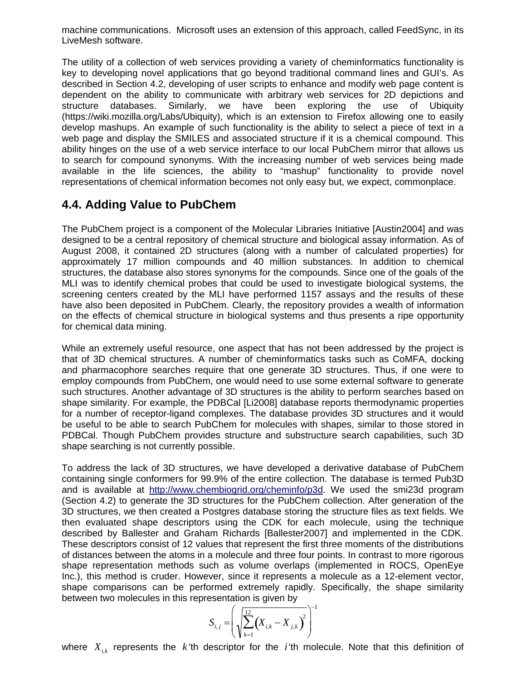machine communications. Microsoft uses an extension of this approach, called FeedSync, in its LiveMesh software.

The utility of a collection of web services providing a variety of cheminformatics functionality is key to developing novel applications that go beyond traditional command lines and GUI's. As described in Section 4.2, developing of user scripts to enhance and modify web page content is dependent on the ability to communicate with arbitrary web services for 2D depictions and structure databases. Similarly, we have been exploring the use of Ubiquity (https://wiki.mozilla.org/Labs/Ubiquity), which is an extension to Firefox allowing one to easily develop mashups. An example of such functionality is the ability to select a piece of text in a web page and display the SMILES and associated structure if it is a chemical compound. This ability hinges on the use of a web service interface to our local PubChem mirror that allows us to search for compound synonyms. With the increasing number of web services being made available in the life sciences, the ability to "mashup" functionality to provide novel representations of chemical information becomes not only easy but, we expect, commonplace.

#### **4.4. Adding Value to PubChem**

The PubChem project is a component of the Molecular Libraries Initiative [Austin2004] and was designed to be a central repository of chemical structure and biological assay information. As of August 2008, it contained 2D structures (along with a number of calculated properties) for approximately 17 million compounds and 40 million substances. In addition to chemical structures, the database also stores synonyms for the compounds. Since one of the goals of the MLI was to identify chemical probes that could be used to investigate biological systems, the screening centers created by the MLI have performed 1157 assays and the results of these have also been deposited in PubChem. Clearly, the repository provides a wealth of information on the effects of chemical structure in biological systems and thus presents a ripe opportunity for chemical data mining.

While an extremely useful resource, one aspect that has not been addressed by the project is that of 3D chemical structures. A number of cheminformatics tasks such as CoMFA, docking and pharmacophore searches require that one generate 3D structures. Thus, if one were to employ compounds from PubChem, one would need to use some external software to generate such structures. Another advantage of 3D structures is the ability to perform searches based on shape similarity. For example, the PDBCal [Li2008] database reports thermodynamic properties for a number of receptor-ligand complexes. The database provides 3D structures and it would be useful to be able to search PubChem for molecules with shapes, similar to those stored in PDBCal. Though PubChem provides structure and substructure search capabilities, such 3D shape searching is not currently possible.

To address the lack of 3D structures, we have developed a derivative database of PubChem containing single conformers for 99.9% of the entire collection. The database is termed Pub3D and is available at http://www.chembiogrid.org/cheminfo/p3d. We used the smi23d program (Section 4.2) to generate the 3D structures for the PubChem collection. After generation of the 3D structures, we then created a Postgres database storing the structure files as text fields. We then evaluated shape descriptors using the CDK for each molecule, using the technique described by Ballester and Graham Richards [Ballester2007] and implemented in the CDK. These descriptors consist of 12 values that represent the first three moments of the distributions of distances between the atoms in a molecule and three four points. In contrast to more rigorous shape representation methods such as volume overlaps (implemented in ROCS, OpenEye Inc.), this method is cruder. However, since it represents a molecule as a 12-element vector, shape comparisons can be performed extremely rapidly. Specifically, the shape similarity between two molecules in this representation is given by

$$
S_{i,j} = \left(\sqrt{\sum_{k=1}^{12} (X_{i,k} - X_{j,k})^2}\right)^{-1}
$$

where  $X_{ik}$  represents the k'th descriptor for the *i*'th molecule. Note that this definition of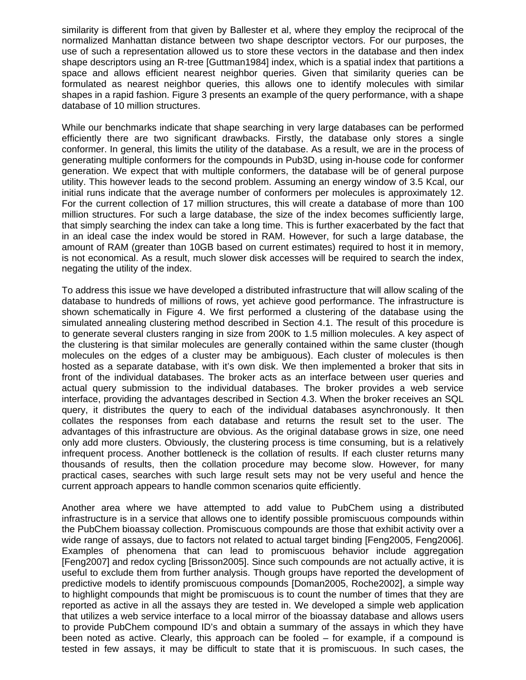similarity is different from that given by Ballester et al, where they employ the reciprocal of the normalized Manhattan distance between two shape descriptor vectors. For our purposes, the use of such a representation allowed us to store these vectors in the database and then index shape descriptors using an R-tree [Guttman1984] index, which is a spatial index that partitions a space and allows efficient nearest neighbor queries. Given that similarity queries can be formulated as nearest neighbor queries, this allows one to identify molecules with similar shapes in a rapid fashion. Figure 3 presents an example of the query performance, with a shape database of 10 million structures.

While our benchmarks indicate that shape searching in very large databases can be performed efficiently there are two significant drawbacks. Firstly, the database only stores a single conformer. In general, this limits the utility of the database. As a result, we are in the process of generating multiple conformers for the compounds in Pub3D, using in-house code for conformer generation. We expect that with multiple conformers, the database will be of general purpose utility. This however leads to the second problem. Assuming an energy window of 3.5 Kcal, our initial runs indicate that the average number of conformers per molecules is approximately 12. For the current collection of 17 million structures, this will create a database of more than 100 million structures. For such a large database, the size of the index becomes sufficiently large, that simply searching the index can take a long time. This is further exacerbated by the fact that in an ideal case the index would be stored in RAM. However, for such a large database, the amount of RAM (greater than 10GB based on current estimates) required to host it in memory, is not economical. As a result, much slower disk accesses will be required to search the index, negating the utility of the index.

To address this issue we have developed a distributed infrastructure that will allow scaling of the database to hundreds of millions of rows, yet achieve good performance. The infrastructure is shown schematically in Figure 4. We first performed a clustering of the database using the simulated annealing clustering method described in Section 4.1. The result of this procedure is to generate several clusters ranging in size from 200K to 1.5 million molecules. A key aspect of the clustering is that similar molecules are generally contained within the same cluster (though molecules on the edges of a cluster may be ambiguous). Each cluster of molecules is then hosted as a separate database, with it's own disk. We then implemented a broker that sits in front of the individual databases. The broker acts as an interface between user queries and actual query submission to the individual databases. The broker provides a web service interface, providing the advantages described in Section 4.3. When the broker receives an SQL query, it distributes the query to each of the individual databases asynchronously. It then collates the responses from each database and returns the result set to the user. The advantages of this infrastructure are obvious. As the original database grows in size, one need only add more clusters. Obviously, the clustering process is time consuming, but is a relatively infrequent process. Another bottleneck is the collation of results. If each cluster returns many thousands of results, then the collation procedure may become slow. However, for many practical cases, searches with such large result sets may not be very useful and hence the current approach appears to handle common scenarios quite efficiently.

Another area where we have attempted to add value to PubChem using a distributed infrastructure is in a service that allows one to identify possible promiscuous compounds within the PubChem bioassay collection. Promiscuous compounds are those that exhibit activity over a wide range of assays, due to factors not related to actual target binding [Feng2005, Feng2006]. Examples of phenomena that can lead to promiscuous behavior include aggregation [Feng2007] and redox cycling [Brisson2005]. Since such compounds are not actually active, it is useful to exclude them from further analysis. Though groups have reported the development of predictive models to identify promiscuous compounds [Doman2005, Roche2002], a simple way to highlight compounds that might be promiscuous is to count the number of times that they are reported as active in all the assays they are tested in. We developed a simple web application that utilizes a web service interface to a local mirror of the bioassay database and allows users to provide PubChem compound ID's and obtain a summary of the assays in which they have been noted as active. Clearly, this approach can be fooled – for example, if a compound is tested in few assays, it may be difficult to state that it is promiscuous. In such cases, the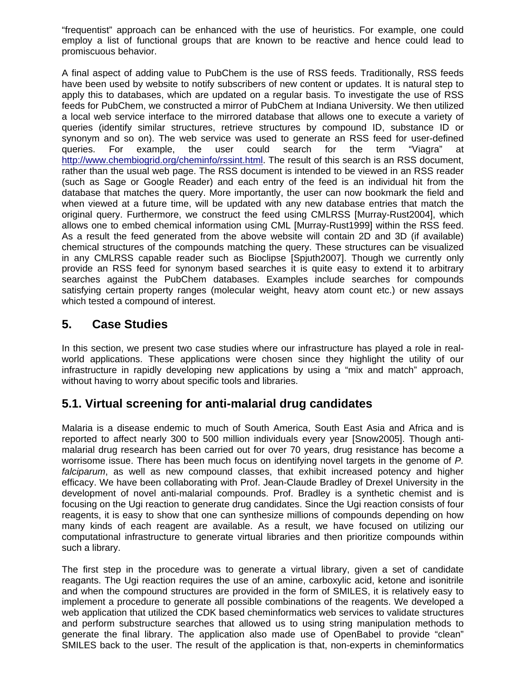"frequentist" approach can be enhanced with the use of heuristics. For example, one could employ a list of functional groups that are known to be reactive and hence could lead to promiscuous behavior.

A final aspect of adding value to PubChem is the use of RSS feeds. Traditionally, RSS feeds have been used by website to notify subscribers of new content or updates. It is natural step to apply this to databases, which are updated on a regular basis. To investigate the use of RSS feeds for PubChem, we constructed a mirror of PubChem at Indiana University. We then utilized a local web service interface to the mirrored database that allows one to execute a variety of queries (identify similar structures, retrieve structures by compound ID, substance ID or synonym and so on). The web service was used to generate an RSS feed for user-defined queries. For example, the user could search for the term "Viagra" at http://www.chembiogrid.org/cheminfo/rssint.html. The result of this search is an RSS document, rather than the usual web page. The RSS document is intended to be viewed in an RSS reader (such as Sage or Google Reader) and each entry of the feed is an individual hit from the database that matches the query. More importantly, the user can now bookmark the field and when viewed at a future time, will be updated with any new database entries that match the original query. Furthermore, we construct the feed using CMLRSS [Murray-Rust2004], which allows one to embed chemical information using CML [Murray-Rust1999] within the RSS feed. As a result the feed generated from the above website will contain 2D and 3D (if available) chemical structures of the compounds matching the query. These structures can be visualized in any CMLRSS capable reader such as Bioclipse [Spjuth2007]. Though we currently only provide an RSS feed for synonym based searches it is quite easy to extend it to arbitrary searches against the PubChem databases. Examples include searches for compounds satisfying certain property ranges (molecular weight, heavy atom count etc.) or new assays which tested a compound of interest.

#### **5. Case Studies**

In this section, we present two case studies where our infrastructure has played a role in realworld applications. These applications were chosen since they highlight the utility of our infrastructure in rapidly developing new applications by using a "mix and match" approach, without having to worry about specific tools and libraries.

#### **5.1. Virtual screening for anti-malarial drug candidates**

Malaria is a disease endemic to much of South America, South East Asia and Africa and is reported to affect nearly 300 to 500 million individuals every year [Snow2005]. Though antimalarial drug research has been carried out for over 70 years, drug resistance has become a worrisome issue. There has been much focus on identifying novel targets in the genome of *P. falciparum*, as well as new compound classes, that exhibit increased potency and higher efficacy. We have been collaborating with Prof. Jean-Claude Bradley of Drexel University in the development of novel anti-malarial compounds. Prof. Bradley is a synthetic chemist and is focusing on the Ugi reaction to generate drug candidates. Since the Ugi reaction consists of four reagents, it is easy to show that one can synthesize millions of compounds depending on how many kinds of each reagent are available. As a result, we have focused on utilizing our computational infrastructure to generate virtual libraries and then prioritize compounds within such a library.

The first step in the procedure was to generate a virtual library, given a set of candidate reagants. The Ugi reaction requires the use of an amine, carboxylic acid, ketone and isonitrile and when the compound structures are provided in the form of SMILES, it is relatively easy to implement a procedure to generate all possible combinations of the reagents. We developed a web application that utilized the CDK based cheminformatics web services to validate structures and perform substructure searches that allowed us to using string manipulation methods to generate the final library. The application also made use of OpenBabel to provide "clean" SMILES back to the user. The result of the application is that, non-experts in cheminformatics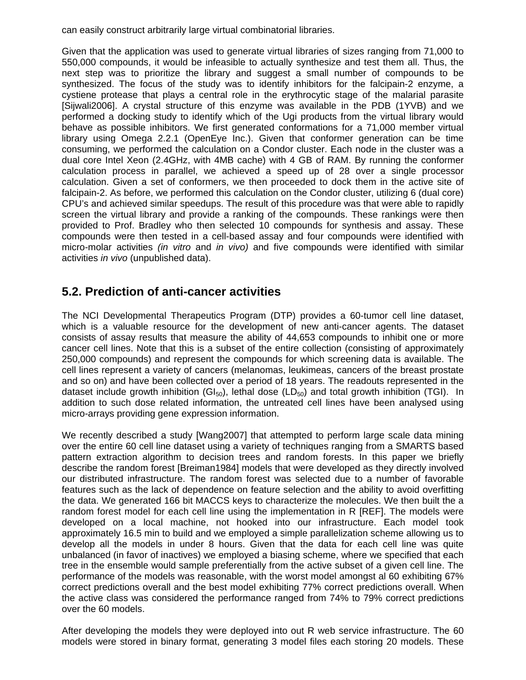can easily construct arbitrarily large virtual combinatorial libraries.

Given that the application was used to generate virtual libraries of sizes ranging from 71,000 to 550,000 compounds, it would be infeasible to actually synthesize and test them all. Thus, the next step was to prioritize the library and suggest a small number of compounds to be synthesized. The focus of the study was to identify inhibitors for the falcipain-2 enzyme, a cystiene protease that plays a central role in the erythrocytic stage of the malarial parasite [Sijwali2006]. A crystal structure of this enzyme was available in the PDB (1YVB) and we performed a docking study to identify which of the Ugi products from the virtual library would behave as possible inhibitors. We first generated conformations for a 71,000 member virtual library using Omega 2.2.1 (OpenEye Inc.). Given that conformer generation can be time consuming, we performed the calculation on a Condor cluster. Each node in the cluster was a dual core Intel Xeon (2.4GHz, with 4MB cache) with 4 GB of RAM. By running the conformer calculation process in parallel, we achieved a speed up of 28 over a single processor calculation. Given a set of conformers, we then proceeded to dock them in the active site of falcipain-2. As before, we performed this calculation on the Condor cluster, utilizing 6 (dual core) CPU's and achieved similar speedups. The result of this procedure was that were able to rapidly screen the virtual library and provide a ranking of the compounds. These rankings were then provided to Prof. Bradley who then selected 10 compounds for synthesis and assay. These compounds were then tested in a cell-based assay and four compounds were identified with micro-molar activities *(in vitro* and *in vivo)* and five compounds were identified with similar activities *in vivo* (unpublished data).

#### **5.2. Prediction of anti-cancer activities**

The NCI Developmental Therapeutics Program (DTP) provides a 60-tumor cell line dataset, which is a valuable resource for the development of new anti-cancer agents. The dataset consists of assay results that measure the ability of 44,653 compounds to inhibit one or more cancer cell lines. Note that this is a subset of the entire collection (consisting of approximately 250,000 compounds) and represent the compounds for which screening data is available. The cell lines represent a variety of cancers (melanomas, leukimeas, cancers of the breast prostate and so on) and have been collected over a period of 18 years. The readouts represented in the dataset include growth inhibition ( $Gl<sub>50</sub>$ ), lethal dose (LD<sub>50</sub>) and total growth inhibition (TGI). In addition to such dose related information, the untreated cell lines have been analysed using micro-arrays providing gene expression information.

We recently described a study [Wang2007] that attempted to perform large scale data mining over the entire 60 cell line dataset using a variety of techniques ranging from a SMARTS based pattern extraction algorithm to decision trees and random forests. In this paper we briefly describe the random forest [Breiman1984] models that were developed as they directly involved our distributed infrastructure. The random forest was selected due to a number of favorable features such as the lack of dependence on feature selection and the ability to avoid overfitting the data. We generated 166 bit MACCS keys to characterize the molecules. We then built the a random forest model for each cell line using the implementation in R [REF]. The models were developed on a local machine, not hooked into our infrastructure. Each model took approximately 16.5 min to build and we employed a simple parallelization scheme allowing us to develop all the models in under 8 hours. Given that the data for each cell line was quite unbalanced (in favor of inactives) we employed a biasing scheme, where we specified that each tree in the ensemble would sample preferentially from the active subset of a given cell line. The performance of the models was reasonable, with the worst model amongst al 60 exhibiting 67% correct predictions overall and the best model exhibiting 77% correct predictions overall. When the active class was considered the performance ranged from 74% to 79% correct predictions over the 60 models.

After developing the models they were deployed into out R web service infrastructure. The 60 models were stored in binary format, generating 3 model files each storing 20 models. These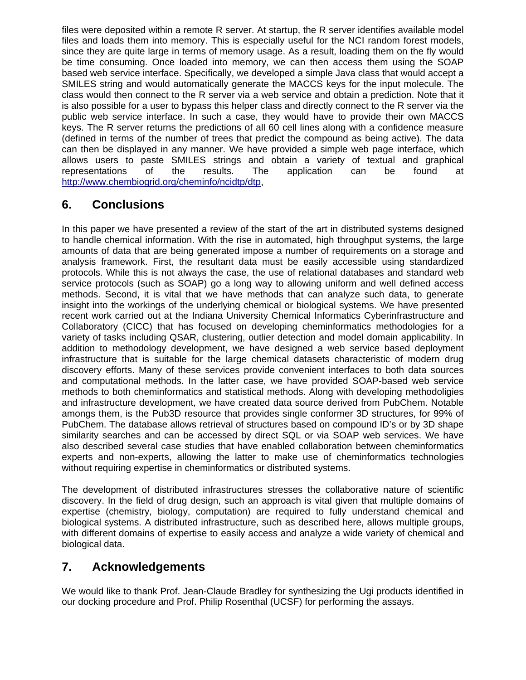files were deposited within a remote R server. At startup, the R server identifies available model files and loads them into memory. This is especially useful for the NCI random forest models, since they are quite large in terms of memory usage. As a result, loading them on the fly would be time consuming. Once loaded into memory, we can then access them using the SOAP based web service interface. Specifically, we developed a simple Java class that would accept a SMILES string and would automatically generate the MACCS keys for the input molecule. The class would then connect to the R server via a web service and obtain a prediction. Note that it is also possible for a user to bypass this helper class and directly connect to the R server via the public web service interface. In such a case, they would have to provide their own MACCS keys. The R server returns the predictions of all 60 cell lines along with a confidence measure (defined in terms of the number of trees that predict the compound as being active). The data can then be displayed in any manner. We have provided a simple web page interface, which allows users to paste SMILES strings and obtain a variety of textual and graphical representations of the results. The application can be found at http://www.chembiogrid.org/cheminfo/ncidtp/dtp,

## **6. Conclusions**

In this paper we have presented a review of the start of the art in distributed systems designed to handle chemical information. With the rise in automated, high throughput systems, the large amounts of data that are being generated impose a number of requirements on a storage and analysis framework. First, the resultant data must be easily accessible using standardized protocols. While this is not always the case, the use of relational databases and standard web service protocols (such as SOAP) go a long way to allowing uniform and well defined access methods. Second, it is vital that we have methods that can analyze such data, to generate insight into the workings of the underlying chemical or biological systems. We have presented recent work carried out at the Indiana University Chemical Informatics Cyberinfrastructure and Collaboratory (CICC) that has focused on developing cheminformatics methodologies for a variety of tasks including QSAR, clustering, outlier detection and model domain applicability. In addition to methodology development, we have designed a web service based deployment infrastructure that is suitable for the large chemical datasets characteristic of modern drug discovery efforts. Many of these services provide convenient interfaces to both data sources and computational methods. In the latter case, we have provided SOAP-based web service methods to both cheminformatics and statistical methods. Along with developing methodoligies and infrastructure development, we have created data source derived from PubChem. Notable amongs them, is the Pub3D resource that provides single conformer 3D structures, for 99% of PubChem. The database allows retrieval of structures based on compound ID's or by 3D shape similarity searches and can be accessed by direct SQL or via SOAP web services. We have also described several case studies that have enabled collaboration between cheminformatics experts and non-experts, allowing the latter to make use of cheminformatics technologies without requiring expertise in cheminformatics or distributed systems.

The development of distributed infrastructures stresses the collaborative nature of scientific discovery. In the field of drug design, such an approach is vital given that multiple domains of expertise (chemistry, biology, computation) are required to fully understand chemical and biological systems. A distributed infrastructure, such as described here, allows multiple groups, with different domains of expertise to easily access and analyze a wide variety of chemical and biological data.

#### **7. Acknowledgements**

We would like to thank Prof. Jean-Claude Bradley for synthesizing the Ugi products identified in our docking procedure and Prof. Philip Rosenthal (UCSF) for performing the assays.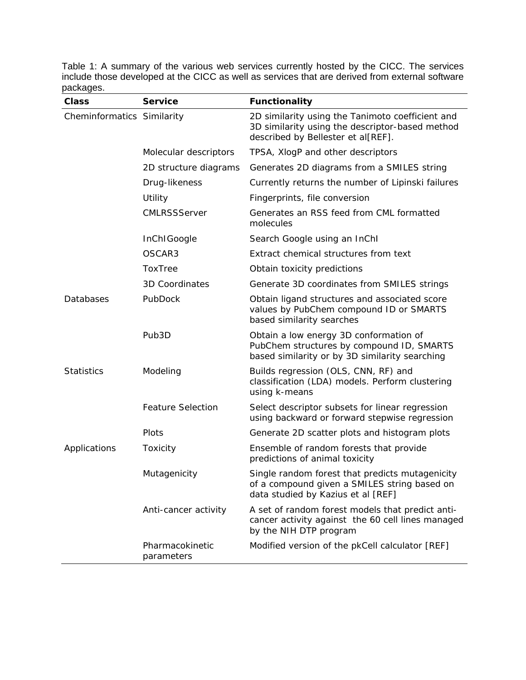Table 1: A summary of the various web services currently hosted by the CICC. The services include those developed at the CICC as well as services that are derived from external software packages.

| <b>Class</b>               | <b>Service</b>                | <b>Functionality</b>                                                                                                                      |
|----------------------------|-------------------------------|-------------------------------------------------------------------------------------------------------------------------------------------|
| Cheminformatics Similarity |                               | 2D similarity using the Tanimoto coefficient and<br>3D similarity using the descriptor-based method<br>described by Bellester et al[REF]. |
|                            | Molecular descriptors         | TPSA, XlogP and other descriptors                                                                                                         |
|                            | 2D structure diagrams         | Generates 2D diagrams from a SMILES string                                                                                                |
|                            | Drug-likeness                 | Currently returns the number of Lipinski failures                                                                                         |
|                            | Utility                       | Fingerprints, file conversion                                                                                                             |
|                            | CMLRSSServer                  | Generates an RSS feed from CML formatted<br>molecules                                                                                     |
|                            | InChIGoogle                   | Search Google using an InChI                                                                                                              |
|                            | OSCAR3                        | Extract chemical structures from text                                                                                                     |
|                            | ToxTree                       | Obtain toxicity predictions                                                                                                               |
|                            | <b>3D Coordinates</b>         | Generate 3D coordinates from SMILES strings                                                                                               |
| Databases                  | PubDock                       | Obtain ligand structures and associated score<br>values by PubChem compound ID or SMARTS<br>based similarity searches                     |
|                            | Pub <sub>3</sub> D            | Obtain a low energy 3D conformation of<br>PubChem structures by compound ID, SMARTS<br>based similarity or by 3D similarity searching     |
| <b>Statistics</b>          | Modeling                      | Builds regression (OLS, CNN, RF) and<br>classification (LDA) models. Perform clustering<br>using k-means                                  |
|                            | <b>Feature Selection</b>      | Select descriptor subsets for linear regression<br>using backward or forward stepwise regression                                          |
|                            | Plots                         | Generate 2D scatter plots and histogram plots                                                                                             |
| Applications               | Toxicity                      | Ensemble of random forests that provide<br>predictions of animal toxicity                                                                 |
|                            | Mutagenicity                  | Single random forest that predicts mutagenicity<br>of a compound given a SMILES string based on<br>data studied by Kazius et al [REF]     |
|                            | Anti-cancer activity          | A set of random forest models that predict anti-<br>cancer activity against the 60 cell lines managed<br>by the NIH DTP program           |
|                            | Pharmacokinetic<br>parameters | Modified version of the pkCell calculator [REF]                                                                                           |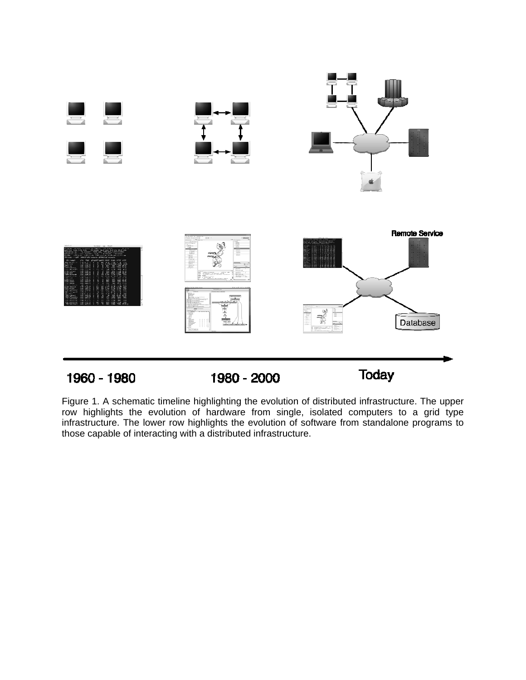

1960 - 1980 1980 - 2000 Figure 1. A schematic timeline highlighting the evolution of distributed infrastructure. The upper

row highlights the evolution of hardware from single, isolated computers to a grid type infrastructure. The lower row highlights the evolution of software from standalone programs to those capable of interacting with a distributed infrastructure.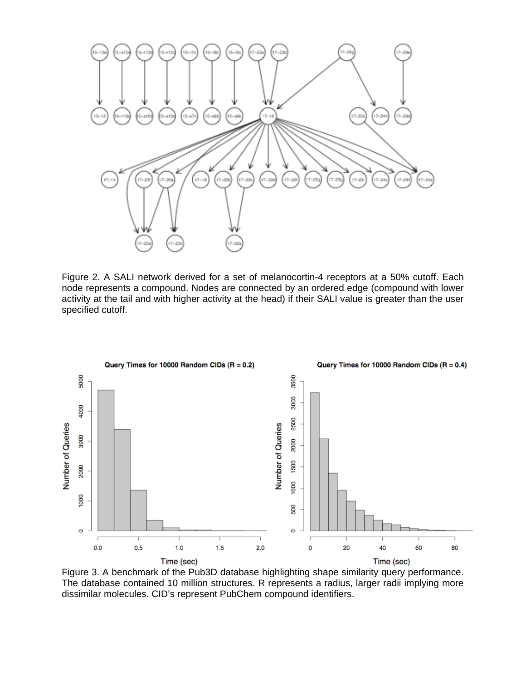

Figure 2. A SALI network derived for a set of melanocortin-4 receptors at a 50% cutoff. Each node represents a compound. Nodes are connected by an ordered edge (compound with lower activity at the tail and with higher activity at the head) if their SALI value is greater than the user specified cutoff.



Figure 3. A benchmark of the Pub3D database highlighting shape similarity query performance. The database contained 10 million structures. R represents a radius, larger radii implying more dissimilar molecules. CID's represent PubChem compound identifiers.